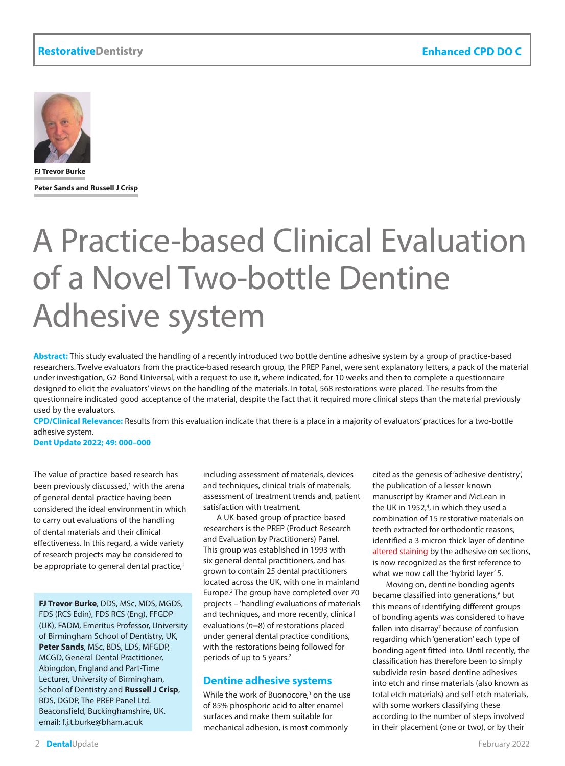

**FJ Trevor Burke Peter Sands and Russell J Crisp**

# A Practice-based Clinical Evaluation of a Novel Two-bottle Dentine Adhesive system

**Abstract:** This study evaluated the handling of a recently introduced two bottle dentine adhesive system by a group of practice-based researchers. Twelve evaluators from the practice-based research group, the PREP Panel, were sent explanatory letters, a pack of the material under investigation, G2-Bond Universal, with a request to use it, where indicated, for 10 weeks and then to complete a questionnaire designed to elicit the evaluators' views on the handling of the materials. In total, 568 restorations were placed. The results from the questionnaire indicated good acceptance of the material, despite the fact that it required more clinical steps than the material previously used by the evaluators.

**CPD/Clinical Relevance:** Results from this evaluation indicate that there is a place in a majority of evaluators' practices for a two-bottle adhesive system.

**Dent Update 2022; 49: 000–000**

The value of practice-based research has been previously discussed,<sup>1</sup> with the arena of general dental practice having been considered the ideal environment in which to carry out evaluations of the handling of dental materials and their clinical effectiveness. In this regard, a wide variety of research projects may be considered to be appropriate to general dental practice,<sup>1</sup>

**FJ Trevor Burke**, DDS, MSc, MDS, MGDS, FDS (RCS Edin), FDS RCS (Eng), FFGDP (UK), FADM, Emeritus Professor, University of Birmingham School of Dentistry, UK, **Peter Sands**, MSc, BDS, LDS, MFGDP, MCGD, General Dental Practitioner, Abingdon, England and Part-Time Lecturer, University of Birmingham, School of Dentistry and **Russell J Crisp**, BDS, DGDP, The PREP Panel Ltd. Beaconsfield, Buckinghamshire, UK. email: f.j.t.burke@bham.ac.uk

including assessment of materials, devices and techniques, clinical trials of materials, assessment of treatment trends and, patient satisfaction with treatment.

A UK-based group of practice-based researchers is the PREP (Product Research and Evaluation by Practitioners) Panel. This group was established in 1993 with six general dental practitioners, and has grown to contain 25 dental practitioners located across the UK, with one in mainland Europe.2 The group have completed over 70 projects – 'handling' evaluations of materials and techniques, and more recently, clinical evaluations (*n*=8) of restorations placed under general dental practice conditions, with the restorations being followed for periods of up to 5 years.<sup>2</sup>

## **Dentine adhesive systems**

While the work of Buonocore,<sup>3</sup> on the use of 85% phosphoric acid to alter enamel surfaces and make them suitable for mechanical adhesion, is most commonly

cited as the genesis of 'adhesive dentistry', the publication of a lesser-known manuscript by Kramer and McLean in the UK in 1952,<sup>4</sup>, in which they used a combination of 15 restorative materials on teeth extracted for orthodontic reasons, identified a 3-micron thick layer of dentine altered staining by the adhesive on sections, is now recognized as the first reference to what we now call the 'hybrid layer' 5.

Moving on, dentine bonding agents became classified into generations,<sup>6</sup> but this means of identifying different groups of bonding agents was considered to have fallen into disarray<sup>7</sup> because of confusion regarding which 'generation' each type of bonding agent fitted into. Until recently, the classification has therefore been to simply subdivide resin-based dentine adhesives into etch and rinse materials (also known as total etch materials) and self-etch materials, with some workers classifying these according to the number of steps involved in their placement (one or two), or by their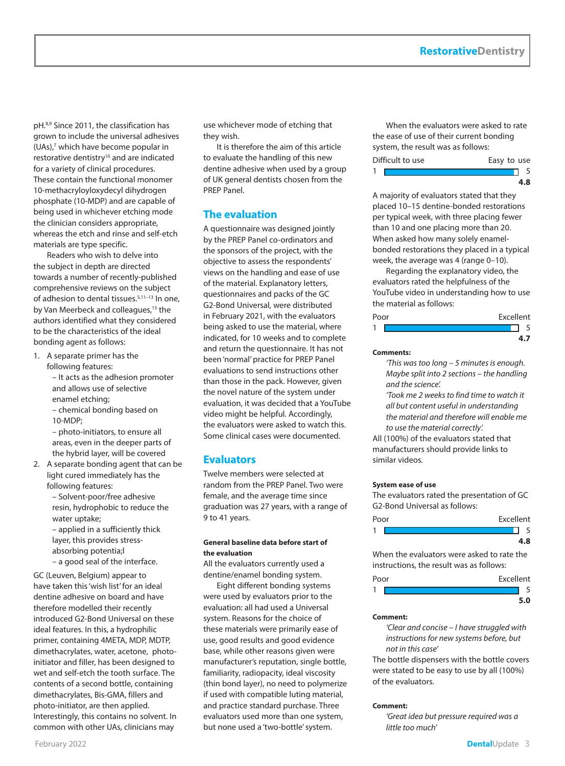pH.8,9 Since 2011, the classification has grown to include the universal adhesives (UAs),<sup>7</sup> which have become popular in restorative dentistry<sup>10</sup> and are indicated for a variety of clinical procedures. These contain the functional monomer 10-methacryloyloxydecyl dihydrogen phosphate (10-MDP) and are capable of being used in whichever etching mode the clinician considers appropriate, whereas the etch and rinse and self-etch materials are type specific.

Readers who wish to delve into the subject in depth are directed towards a number of recently-published comprehensive reviews on the subject of adhesion to dental tissues.5,11–13 In one, by Van Meerbeck and colleagues,<sup>13</sup> the authors identified what they considered to be the characteristics of the ideal bonding agent as follows:

- 1. A separate primer has the following features:
	- It acts as the adhesion promoter and allows use of selective enamel etching; – chemical bonding based on
	- 10-MDP;

– photo-initiators, to ensure all areas, even in the deeper parts of the hybrid layer, will be covered

- 2. A separate bonding agent that can be light cured immediately has the following features:
	- Solvent-poor/free adhesive resin, hydrophobic to reduce the water uptake;

– applied in a sufficiently thick layer, this provides stressabsorbing potentia;l – a good seal of the interface.

GC (Leuven, Belgium) appear to have taken this 'wish list' for an ideal dentine adhesive on board and have therefore modelled their recently introduced G2-Bond Universal on these ideal features. In this, a hydrophilic primer, containing 4META, MDP, MDTP, dimethacrylates, water, acetone, photoinitiator and filler, has been designed to wet and self-etch the tooth surface. The contents of a second bottle, containing dimethacrylates, Bis-GMA, fillers and photo-initiator, are then applied. Interestingly, this contains no solvent. In common with other UAs, clinicians may

use whichever mode of etching that they wish.

It is therefore the aim of this article to evaluate the handling of this new dentine adhesive when used by a group of UK general dentists chosen from the PREP Panel.

# **The evaluation**

A questionnaire was designed jointly by the PREP Panel co-ordinators and the sponsors of the project, with the objective to assess the respondents' views on the handling and ease of use of the material. Explanatory letters, questionnaires and packs of the GC G2-Bond Universal, were distributed in February 2021, with the evaluators being asked to use the material, where indicated, for 10 weeks and to complete and return the questionnaire. It has not been 'normal' practice for PREP Panel evaluations to send instructions other than those in the pack. However, given the novel nature of the system under evaluation, it was decided that a YouTube video might be helpful. Accordingly, the evaluators were asked to watch this. Some clinical cases were documented.

# **Evaluators**

Twelve members were selected at random from the PREP Panel. Two were female, and the average time since graduation was 27 years, with a range of 9 to 41 years.

#### **General baseline data before start of the evaluation**

All the evaluators currently used a dentine/enamel bonding system.

Eight different bonding systems were used by evaluators prior to the evaluation: all had used a Universal system. Reasons for the choice of these materials were primarily ease of use, good results and good evidence base, while other reasons given were manufacturer's reputation, single bottle, familiarity, radiopacity, ideal viscosity (thin bond layer), no need to polymerize if used with compatible luting material, and practice standard purchase. Three evaluators used more than one system, but none used a 'two-bottle' system.

When the evaluators were asked to rate the ease of use of their current bonding system, the result was as follows:

| Difficult to use |  | Easy to use |
|------------------|--|-------------|
|                  |  |             |
|                  |  |             |

A majority of evaluators stated that they placed 10–15 dentine-bonded restorations per typical week, with three placing fewer than 10 and one placing more than 20. When asked how many solely enamelbonded restorations they placed in a typical week, the average was 4 (range 0–10).

Regarding the explanatory video, the evaluators rated the helpfulness of the YouTube video in understanding how to use the material as follows:

| Poor | Excellent |  |
|------|-----------|--|
| 1    |           |  |
|      |           |  |

#### **Comments:**

*'This was too long – 5 minutes is enough. Maybe split into 2 sections – the handling and the science'.* 

*'Took me 2 weeks to find time to watch it all but content useful in understanding the material and therefore will enable me to use the material correctly'.*

All (100%) of the evaluators stated that manufacturers should provide links to similar videos.

#### **System ease of use**

The evaluators rated the presentation of GC G2-Bond Universal as follows:

| Poor | Excellent |
|------|-----------|
|      |           |
|      |           |

When the evaluators were asked to rate the instructions, the result was as follows:

| Poor | Excellent |
|------|-----------|
| ٠    |           |
|      |           |

#### **Comment:**

*'Clear and concise – I have struggled with instructions for new systems before, but not in this case'*

The bottle dispensers with the bottle covers were stated to be easy to use by all (100%) of the evaluators.

#### **Comment:**

*'Great idea but pressure required was a little too much'*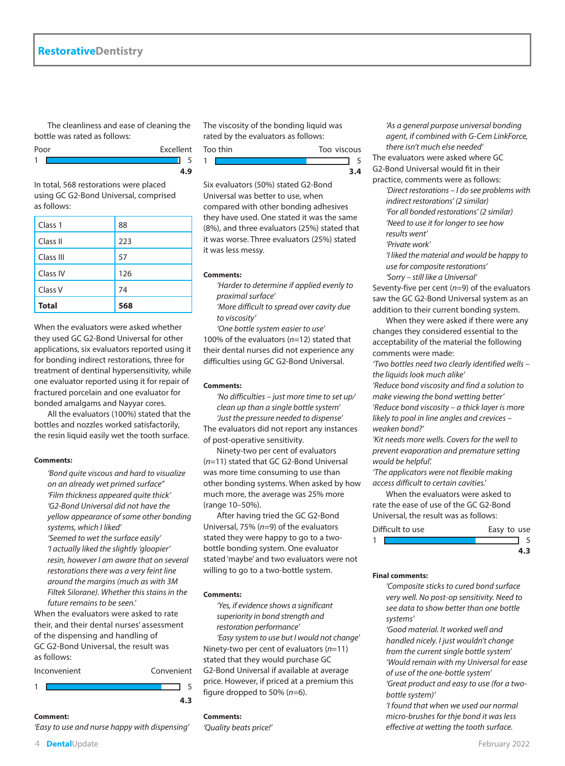The cleanliness and ease of cleaning the bottle was rated as follows:

| Poor | Excellent |
|------|-----------|
|      |           |
|      |           |

In total, 568 restorations were placed using GC G2-Bond Universal, comprised as follows:

| <b>Total</b> | 568 |
|--------------|-----|
| Class V      | 74  |
| Class IV     | 126 |
| Class III    | 57  |
| Class II     | 223 |
| Class 1      | 88  |

When the evaluators were asked whether they used GC G2-Bond Universal for other applications, six evaluators reported using it for bonding indirect restorations, three for treatment of dentinal hypersensitivity, while one evaluator reported using it for repair of fractured porcelain and one evaluator for bonded amalgams and Nayyar cores.

All the evaluators (100%) stated that the bottles and nozzles worked satisfactorily, the resin liquid easily wet the tooth surface.

#### **Comments:**

*'Bond quite viscous and hard to visualize on an already wet primed surface'' 'Film thickness appeared quite thick' 'G2-Bond Universal did not have the yellow appearance of some other bonding systems, which I liked'*

*'Seemed to wet the surface easily' 'I actually liked the slightly 'gloopier' resin, however I am aware that on several restorations there was a very feint line around the margins (much as with 3M Filtek Silorane). Whether this stains in the future remains to be seen.'*

When the evaluators were asked to rate their, and their dental nurses' assessment of the dispensing and handling of GC G2-Bond Universal, the result was as follows:



The viscosity of the bonding liquid was rated by the evaluators as follows:



Six evaluators (50%) stated G2-Bond Universal was better to use, when compared with other bonding adhesives they have used. One stated it was the same (8%), and three evaluators (25%) stated that it was worse. Three evaluators (25%) stated it was less messy.

#### **Comments:**

*'Harder to determine if applied evenly to proximal surface'*

*'More difficult to spread over cavity due to viscosity'*

*'One bottle system easier to use'* 100% of the evaluators (*n*=12) stated that their dental nurses did not experience any difficulties using GC G2-Bond Universal.

#### **Comments:**

*'No difficulties – just more time to set up/ clean up than a single bottle system'*

*'Just the pressure needed to dispense'* The evaluators did not report any instances of post-operative sensitivity.

Ninety-two per cent of evaluators (*n*=11) stated that GC G2-Bond Universal was more time consuming to use than other bonding systems. When asked by how much more, the average was 25% more (range 10–50%).

After having tried the GC G2-Bond Universal, 75% (*n*=9) of the evaluators stated they were happy to go to a twobottle bonding system. One evaluator stated 'maybe' and two evaluators were not willing to go to a two-bottle system.

#### **Comments:**

*'Yes, if evidence shows a significant superiority in bond strength and restoration performance'*

*'Easy system to use but I would not change'* Ninety-two per cent of evaluators (*n*=11) stated that they would purchase GC G2-Bond Universal if available at average price. However, if priced at a premium this figure dropped to 50% (*n*=6).

#### **Comments:**

*'Quality beats price!'*

*'As a general purpose universal bonding agent, if combined with G-Cem LinkForce, there isn't much else needed'* The evaluators were asked where GC G2-Bond Universal would fit in their

practice, comments were as follows: *'Direct restorations – I do see problems with indirect restorations' (2 similar) 'For all bonded restorations' (2 similar)*

*'Need to use it for longer to see how results went'*

*'Private work'*

*'I liked the material and would be happy to use for composite restorations' 'Sorry – still like a Universal'*

Seventy-five per cent (*n*=9) of the evaluators saw the GC G2-Bond Universal system as an addition to their current bonding system.

When they were asked if there were any changes they considered essential to the acceptability of the material the following comments were made:

*'Two bottles need two clearly identified wells – the liquids look much alike'* 

*'Reduce bond viscosity and find a solution to make viewing the bond wetting better' 'Reduce bond viscosity – a thick layer is more likely to pool in line angles and crevices – weaken bond?'*

*'Kit needs more wells. Covers for the well to prevent evaporation and premature setting would be helpful'.*

*'The applicators were not flexible making access difficult to certain cavities.'*

When the evaluators were asked to rate the ease of use of the GC G2-Bond Universal, the result was as follows:

| Difficult to use | Easy to use |
|------------------|-------------|
|                  |             |
|                  |             |

#### **Final comments:**

*'Composite sticks to cured bond surface very well. No post-op sensitivity. Need to see data to show better than one bottle systems'*

*'Good material. It worked well and handled nicely. I just wouldn't change from the current single bottle system' 'Would remain with my Universal for ease of use of the one-bottle system'*

*'Great product and easy to use (for a twobottle system)'*

*'I found that when we used our normal micro-brushes for thje bond it was less effective at wetting the tooth surface.* 

#### *'Easy to use and nurse happy with dispensing'*

**Comment:**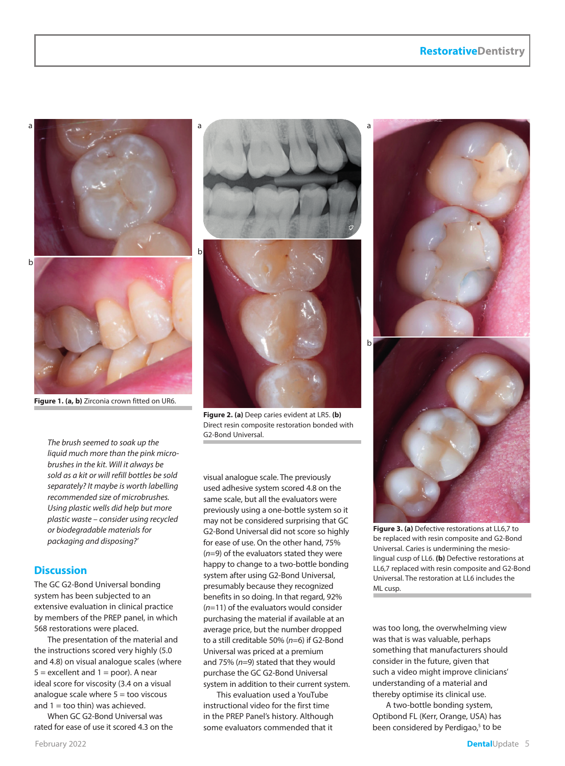# **RestorativeDentistry**



**Figure 1. (a, b)** Zirconia crown fitted on UR6.

*The brush seemed to soak up the liquid much more than the pink microbrushes in the kit. Will it always be sold as a kit or will refill bottles be sold separately? It maybe is worth labelling recommended size of microbrushes. Using plastic wells did help but more plastic waste – consider using recycled or biodegradable materials for packaging and disposing?'*

## **Discussion**

The GC G2-Bond Universal bonding system has been subjected to an extensive evaluation in clinical practice by members of the PREP panel, in which 568 restorations were placed.

The presentation of the material and the instructions scored very highly (5.0 and 4.8) on visual analogue scales (where  $5 =$  excellent and  $1 =$  poor). A near ideal score for viscosity (3.4 on a visual analogue scale where  $5 =$  too viscous and  $1 =$  too thin) was achieved.

When GC G2-Bond Universal was rated for ease of use it scored 4.3 on the



**Figure 2. (a)** Deep caries evident at LR5. **(b)**  Direct resin composite restoration bonded with G2-Bond Universal.

visual analogue scale. The previously used adhesive system scored 4.8 on the same scale, but all the evaluators were previously using a one-bottle system so it may not be considered surprising that GC G2-Bond Universal did not score so highly for ease of use. On the other hand, 75% (*n*=9) of the evaluators stated they were happy to change to a two-bottle bonding system after using G2-Bond Universal, presumably because they recognized benefits in so doing. In that regard, 92% (*n*=11) of the evaluators would consider purchasing the material if available at an average price, but the number dropped to a still creditable 50% (*n*=6) if G2-Bond Universal was priced at a premium and 75% (*n*=9) stated that they would purchase the GC G2-Bond Universal system in addition to their current system.

This evaluation used a YouTube instructional video for the first time in the PREP Panel's history. Although some evaluators commended that it



**Figure 3. (a)** Defective restorations at LL6,7 to be replaced with resin composite and G2-Bond Universal. Caries is undermining the mesiolingual cusp of LL6. **(b)** Defective restorations at LL6,7 replaced with resin composite and G2-Bond Universal. The restoration at LL6 includes the ML cusp.

was too long, the overwhelming view was that is was valuable, perhaps something that manufacturers should consider in the future, given that such a video might improve clinicians' understanding of a material and thereby optimise its clinical use.

A two-bottle bonding system, Optibond FL (Kerr, Orange, USA) has been considered by Perdigao,<sup>5</sup> to be